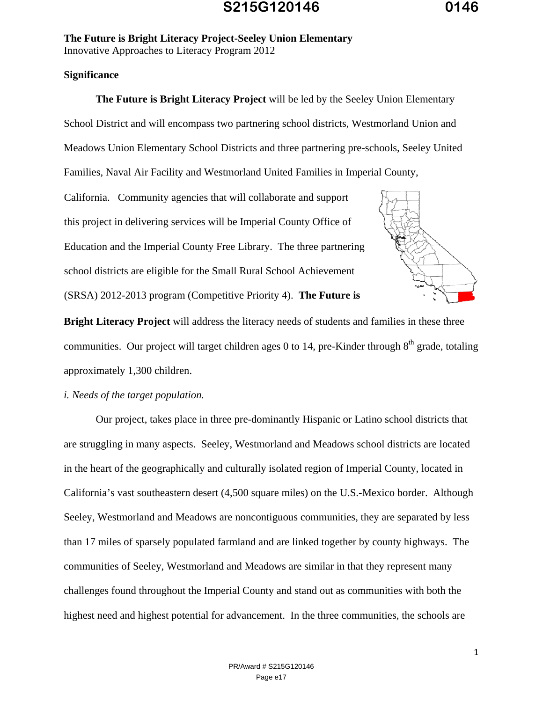#### **Significance**

 **The Future is Bright Literacy Project** will be led by the Seeley Union Elementary School District and will encompass two partnering school districts, Westmorland Union and Meadows Union Elementary School Districts and three partnering pre-schools, Seeley United Families, Naval Air Facility and Westmorland United Families in Imperial County,

 (SRSA) 2012-2013 program (Competitive Priority 4). **The Future is**  California. Community agencies that will collaborate and support this project in delivering services will be Imperial County Office of Education and the Imperial County Free Library. The three partnering school districts are eligible for the Small Rural School Achievement



**Bright Literacy Project** will address the literacy needs of students and families in these three communities. Our project will target children ages 0 to 14, pre-Kinder through  $8<sup>th</sup>$  grade, totaling approximately 1,300 children.

#### *i. Needs of the target population.*

 Our project, takes place in three pre-dominantly Hispanic or Latino school districts that are struggling in many aspects. Seeley, Westmorland and Meadows school districts are located in the heart of the geographically and culturally isolated region of Imperial County, located in California's vast southeastern desert (4,500 square miles) on the U.S.-Mexico border. Although Seeley, Westmorland and Meadows are noncontiguous communities, they are separated by less than 17 miles of sparsely populated farmland and are linked together by county highways. The communities of Seeley, Westmorland and Meadows are similar in that they represent many challenges found throughout the Imperial County and stand out as communities with both the highest need and highest potential for advancement. In the three communities, the schools are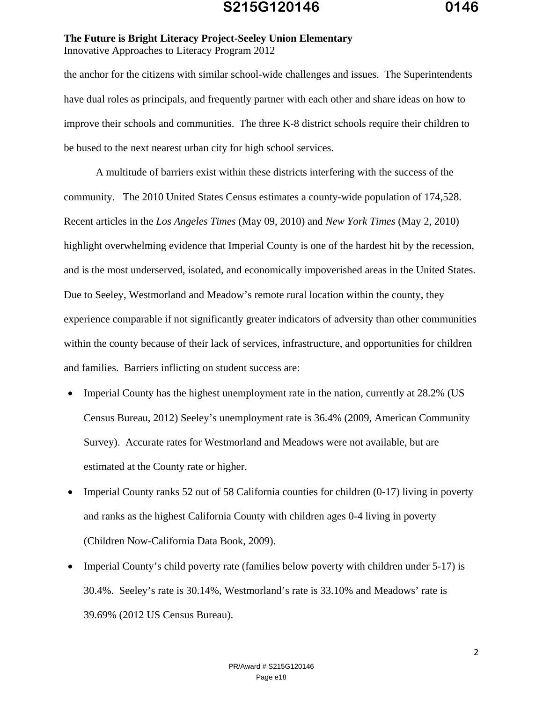the anchor for the citizens with similar school-wide challenges and issues. The Superintendents have dual roles as principals, and frequently partner with each other and share ideas on how to improve their schools and communities. The three K-8 district schools require their children to be bused to the next nearest urban city for high school services.

 A multitude of barriers exist within these districts interfering with the success of the community. The 2010 United States Census estimates a county-wide population of 174,528. Recent articles in the *Los Angeles Times* (May 09, 2010) and *New York Times* (May 2, 2010) highlight overwhelming evidence that Imperial County is one of the hardest hit by the recession, and is the most underserved, isolated, and economically impoverished areas in the United States. Due to Seeley, Westmorland and Meadow's remote rural location within the county, they experience comparable if not significantly greater indicators of adversity than other communities within the county because of their lack of services, infrastructure, and opportunities for children and families. Barriers inflicting on student success are:

- Imperial County has the highest unemployment rate in the nation, currently at 28.2% (US Census Bureau, 2012) Seeley's unemployment rate is 36.4% (2009, American Community Survey). Accurate rates for Westmorland and Meadows were not available, but are estimated at the County rate or higher.
- Imperial County ranks 52 out of 58 California counties for children (0-17) living in poverty and ranks as the highest California County with children ages 0-4 living in poverty (Children Now-California Data Book, 2009).
- Imperial County's child poverty rate (families below poverty with children under 5-17) is 30.4%. Seeley's rate is 30.14%, Westmorland's rate is 33.10% and Meadows' rate is 39.69% (2012 US Census Bureau).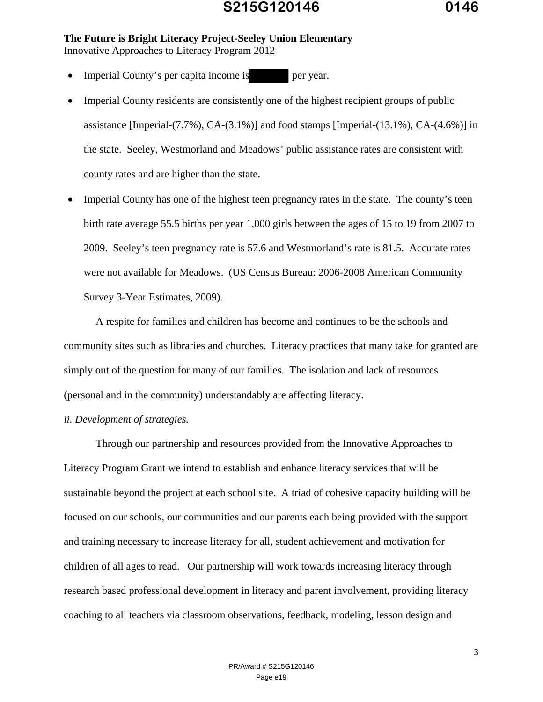- Imperial County's per capita income is per year.
- Imperial County residents are consistently one of the highest recipient groups of public assistance [Imperial-(7.7%), CA-(3.1%)] and food stamps [Imperial-(13.1%), CA-(4.6%)] in the state. Seeley, Westmorland and Meadows' public assistance rates are consistent with county rates and are higher than the state.
- Imperial County has one of the highest teen pregnancy rates in the state. The county's teen birth rate average 55.5 births per year 1,000 girls between the ages of 15 to 19 from 2007 to 2009. Seeley's teen pregnancy rate is 57.6 and Westmorland's rate is 81.5. Accurate rates were not available for Meadows. (US Census Bureau: 2006-2008 American Community Survey 3-Year Estimates, 2009).

 A respite for families and children has become and continues to be the schools and community sites such as libraries and churches. Literacy practices that many take for granted are simply out of the question for many of our families. The isolation and lack of resources (personal and in the community) understandably are affecting literacy.

#### *ii. Development of strategies.*

 Through our partnership and resources provided from the Innovative Approaches to Literacy Program Grant we intend to establish and enhance literacy services that will be sustainable beyond the project at each school site. A triad of cohesive capacity building will be focused on our schools, our communities and our parents each being provided with the support and training necessary to increase literacy for all, student achievement and motivation for children of all ages to read. Our partnership will work towards increasing literacy through research based professional development in literacy and parent involvement, providing literacy coaching to all teachers via classroom observations, feedback, modeling, lesson design and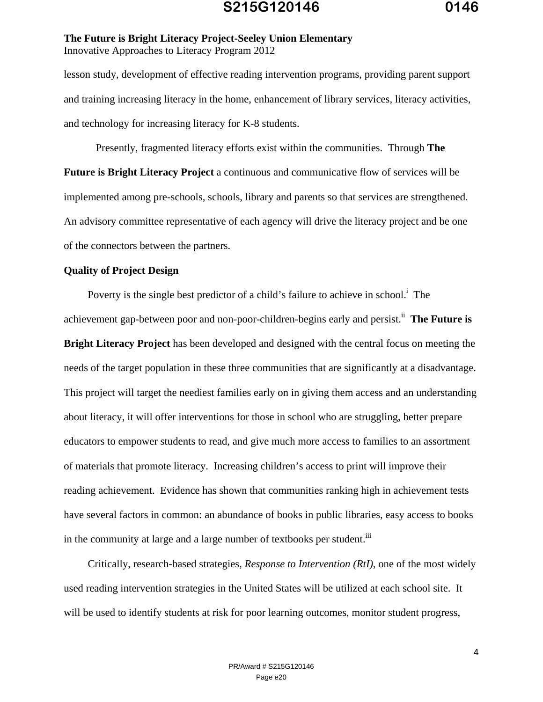lesson study, development of effective reading intervention programs, providing parent support and training increasing literacy in the home, enhancement of library services, literacy activities, and technology for increasing literacy for K-8 students.

 Presently, fragmented literacy efforts exist within the communities. Through **The Future is Bright Literacy Project** a continuous and communicative flow of services will be implemented among pre-schools, schools, library and parents so that services are strengthened. An advisory committee representative of each agency will drive the literacy project and be one of the connectors between the partners.

#### **Quality of Project Design**

Poverty is the single best predictor of a child's failure to achieve in school.<sup> $\mathbf{i}$ </sup> The achievement gap-between poor and non-poor-children-begins early and persist.<sup>ii</sup> The Future is **Bright Literacy Project** has been developed and designed with the central focus on meeting the needs of the target population in these three communities that are significantly at a disadvantage. This project will target the neediest families early on in giving them access and an understanding about literacy, it will offer interventions for those in school who are struggling, better prepare educators to empower students to read, and give much more access to families to an assortment of materials that promote literacy. Increasing children's access to print will improve their reading achievement. Evidence has shown that communities ranking high in achievement tests have several factors in common: an abundance of books in public libraries, easy access to books in the community at large and a large number of textbooks per student.<sup>iii</sup>

 Critically, research-based strategies, *Response to Intervention (RtI)*, one of the most widely used reading intervention strategies in the United States will be utilized at each school site. It will be used to identify students at risk for poor learning outcomes, monitor student progress,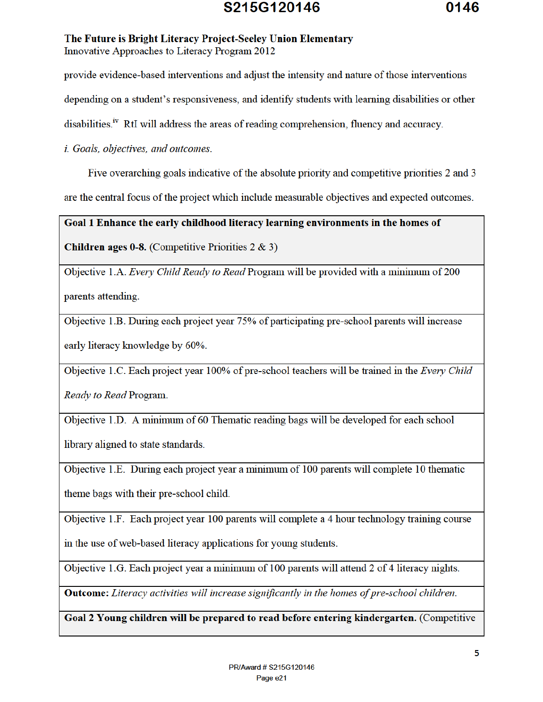### S215G120146

#### The Future is Bright Literacy Project-Seeley Union Elementary Innovative Approaches to Literacy Program 2012

provide evidence-based interventions and adjust the intensity and nature of those interventions

depending on a student's responsiveness, and identify students with learning disabilities or other

disabilities.<sup>iv</sup> RtI will address the areas of reading comprehension, fluency and accuracy.

*i.* Goals, objectives, and outcomes.

Five overarching goals indicative of the absolute priority and competitive priorities 2 and 3

are the central focus of the project which include measurable objectives and expected outcomes.

Goal 1 Enhance the early childhood literacy learning environments in the homes of

**Children ages 0-8.** (Competitive Priorities  $2 \& 3$ )

Objective 1.A. Every Child Ready to Read Program will be provided with a minimum of 200

parents attending.

Objective 1.B. During each project year 75% of participating pre-school parents will increase early literacy knowledge by 60%.

Objective 1.C. Each project year 100% of pre-school teachers will be trained in the Every Child Ready to Read Program.

Objective 1.D. A minimum of 60 Thematic reading bags will be developed for each school

library aligned to state standards.

Objective 1.E. During each project year a minimum of 100 parents will complete 10 thematic

theme bags with their pre-school child.

Objective 1.F. Each project year 100 parents will complete a 4 hour technology training course

in the use of web-based literacy applications for young students.

Objective 1.G. Each project year a minimum of 100 parents will attend 2 of 4 literacy nights.

**Outcome:** Literacy activities will increase significantly in the homes of pre-school children.

Goal 2 Young children will be prepared to read before entering kindergarten. (Competitive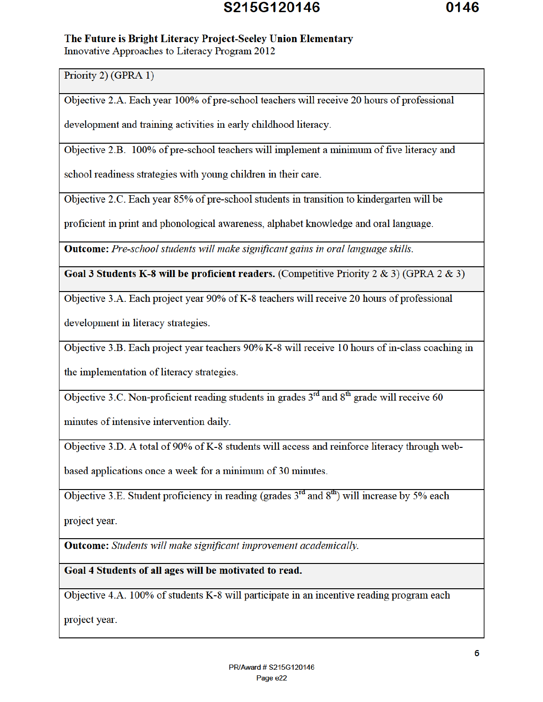# S215G120146

#### The Future is Bright Literacy Project-Seeley Union Elementary

Innovative Approaches to Literacy Program 2012

Priority 2) (GPRA 1)

Objective 2.A. Each year 100% of pre-school teachers will receive 20 hours of professional

development and training activities in early childhood literacy.

Objective 2.B. 100% of pre-school teachers will implement a minimum of five literacy and

school readiness strategies with young children in their care.

Objective 2.C. Each year 85% of pre-school students in transition to kindergarten will be

proficient in print and phonological awareness, alphabet knowledge and oral language.

**Outcome:** Pre-school students will make significant gains in oral language skills.

Goal 3 Students K-8 will be proficient readers. (Competitive Priority 2 & 3) (GPRA 2 & 3)

Objective 3.A. Each project year 90% of K-8 teachers will receive 20 hours of professional

development in literacy strategies.

Objective 3.B. Each project year teachers 90% K-8 will receive 10 hours of in-class coaching in

the implementation of literacy strategies.

Objective 3.C. Non-proficient reading students in grades  $3^{rd}$  and  $8^{th}$  grade will receive 60

minutes of intensive intervention daily.

Objective 3.D. A total of 90% of K-8 students will access and reinforce literacy through web-

based applications once a week for a minimum of 30 minutes.

Objective 3.E. Student proficiency in reading (grades  $3^{rd}$  and  $8^{th}$ ) will increase by 5% each

project year.

**Outcome:** Students will make significant improvement academically.

Goal 4 Students of all ages will be motivated to read.

Objective 4.A. 100% of students K-8 will participate in an incentive reading program each

project year.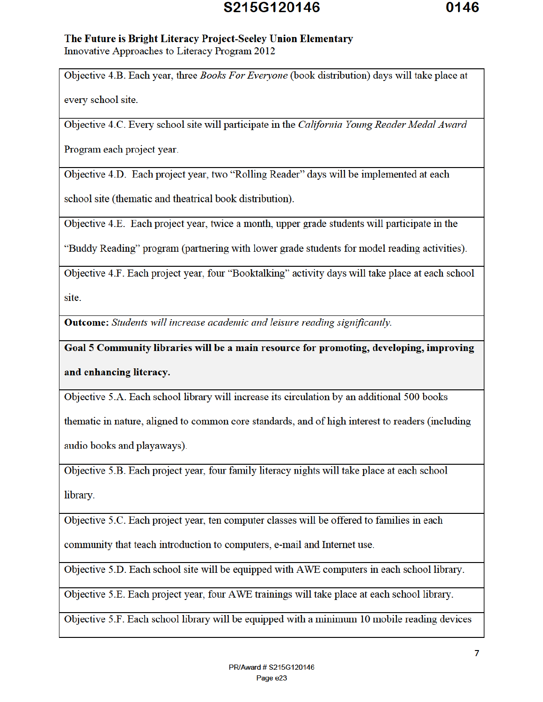## S215G120146

# The Future is Bright Literacy Project-Seeley Union Elementary

Innovative Approaches to Literacy Program 2012

Objective 4.B. Each year, three *Books For Everyone* (book distribution) days will take place at

every school site.

Objective 4.C. Every school site will participate in the California Young Reader Medal Award

Program each project year.

Objective 4.D. Each project year, two "Rolling Reader" days will be implemented at each

school site (thematic and theatrical book distribution).

Objective 4.E. Each project year, twice a month, upper grade students will participate in the

"Buddy Reading" program (partnering with lower grade students for model reading activities).

Objective 4.F. Each project year, four "Booktalking" activity days will take place at each school site.

**Outcome:** Students will increase academic and leisure reading significantly.

Goal 5 Community libraries will be a main resource for promoting, developing, improving and enhancing literacy.

Objective 5.A. Each school library will increase its circulation by an additional 500 books

thematic in nature, aligned to common core standards, and of high interest to readers (including

audio books and playaways).

Objective 5.B. Each project year, four family literacy nights will take place at each school library.

Objective 5.C. Each project year, ten computer classes will be offered to families in each

community that teach introduction to computers, e-mail and Internet use.

Objective 5.D. Each school site will be equipped with AWE computers in each school library.

Objective 5.E. Each project year, four AWE trainings will take place at each school library.

Objective 5.F. Each school library will be equipped with a minimum 10 mobile reading devices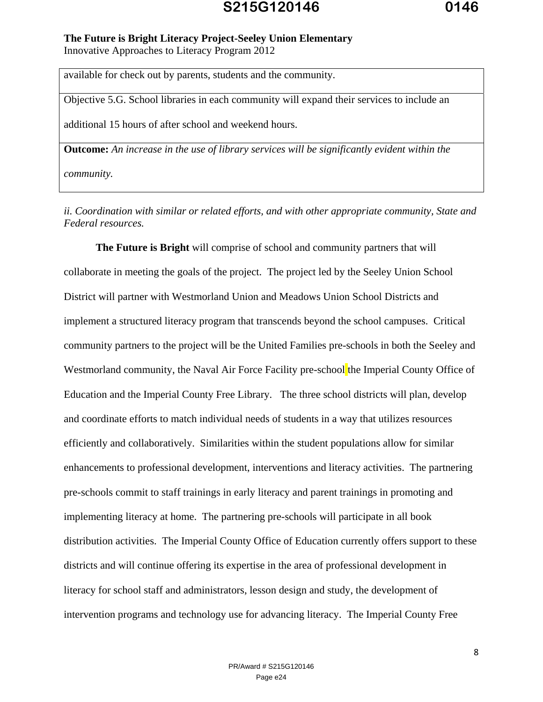#### **The Future is Bright Literacy Project-Seeley Union Elementary**

Innovative Approaches to Literacy Program 2012

available for check out by parents, students and the community.

Objective 5.G. School libraries in each community will expand their services to include an

additional 15 hours of after school and weekend hours.

**Outcome:** *An increase in the use of library services will be significantly evident within the* 

*community.* 

*ii. Coordination with similar or related efforts, and with other appropriate community, State and Federal resources.* 

 **The Future is Bright** will comprise of school and community partners that will collaborate in meeting the goals of the project. The project led by the Seeley Union School District will partner with Westmorland Union and Meadows Union School Districts and implement a structured literacy program that transcends beyond the school campuses. Critical community partners to the project will be the United Families pre-schools in both the Seeley and Westmorland community, the Naval Air Force Facility pre-school the Imperial County Office of Education and the Imperial County Free Library. The three school districts will plan, develop and coordinate efforts to match individual needs of students in a way that utilizes resources efficiently and collaboratively. Similarities within the student populations allow for similar enhancements to professional development, interventions and literacy activities. The partnering pre-schools commit to staff trainings in early literacy and parent trainings in promoting and implementing literacy at home. The partnering pre-schools will participate in all book distribution activities. The Imperial County Office of Education currently offers support to these districts and will continue offering its expertise in the area of professional development in literacy for school staff and administrators, lesson design and study, the development of intervention programs and technology use for advancing literacy. The Imperial County Free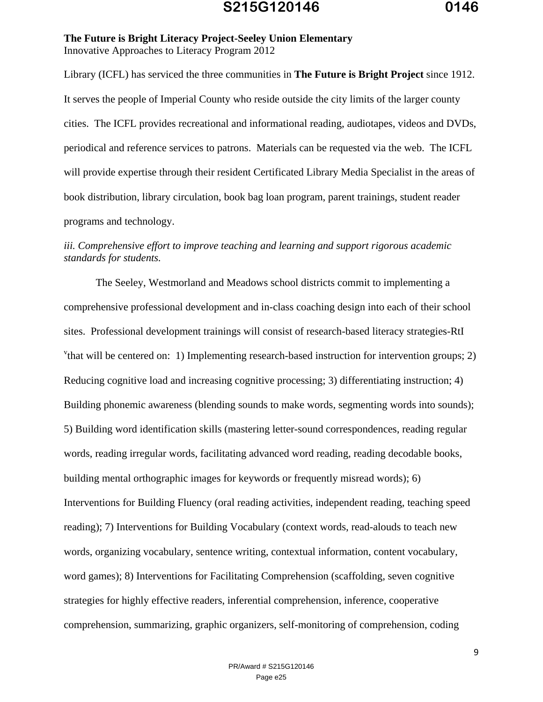Library (ICFL) has serviced the three communities in **The Future is Bright Project** since 1912. It serves the people of Imperial County who reside outside the city limits of the larger county cities. The ICFL provides recreational and informational reading, audiotapes, videos and DVDs, periodical and reference services to patrons. Materials can be requested via the web. The ICFL will provide expertise through their resident Certificated Library Media Specialist in the areas of book distribution, library circulation, book bag loan program, parent trainings, student reader programs and technology.

#### *iii. Comprehensive effort to improve teaching and learning and support rigorous academic standards for students.*

 The Seeley, Westmorland and Meadows school districts commit to implementing a comprehensive professional development and in-class coaching design into each of their school sites. Professional development trainings will consist of research-based literacy strategies-RtI <sup>v</sup>that will be centered on: 1) Implementing research-based instruction for intervention groups; 2) Reducing cognitive load and increasing cognitive processing; 3) differentiating instruction; 4) Building phonemic awareness (blending sounds to make words, segmenting words into sounds); 5) Building word identification skills (mastering letter-sound correspondences, reading regular words, reading irregular words, facilitating advanced word reading, reading decodable books, building mental orthographic images for keywords or frequently misread words); 6) Interventions for Building Fluency (oral reading activities, independent reading, teaching speed reading); 7) Interventions for Building Vocabulary (context words, read-alouds to teach new words, organizing vocabulary, sentence writing, contextual information, content vocabulary, word games); 8) Interventions for Facilitating Comprehension (scaffolding, seven cognitive strategies for highly effective readers, inferential comprehension, inference, cooperative comprehension, summarizing, graphic organizers, self-monitoring of comprehension, coding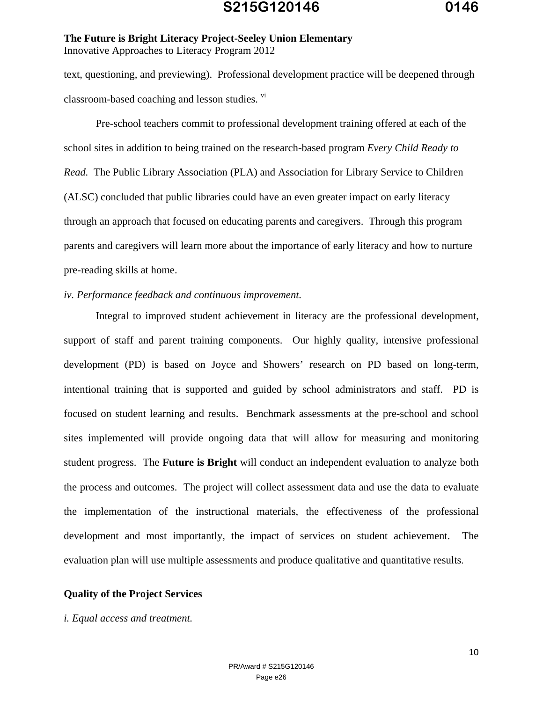text, questioning, and previewing). Professional development practice will be deepened through classroom-based coaching and lesson studies. vi

 Pre-school teachers commit to professional development training offered at each of the school sites in addition to being trained on the research-based program *Every Child Ready to Read.* The Public Library Association (PLA) and Association for Library Service to Children (ALSC) concluded that public libraries could have an even greater impact on early literacy through an approach that focused on educating parents and caregivers. Through this program parents and caregivers will learn more about the importance of early literacy and how to nurture pre-reading skills at home.

#### *iv. Performance feedback and continuous improvement.*

 Integral to improved student achievement in literacy are the professional development, support of staff and parent training components. Our highly quality, intensive professional development (PD) is based on Joyce and Showers' research on PD based on long-term, intentional training that is supported and guided by school administrators and staff. PD is focused on student learning and results. Benchmark assessments at the pre-school and school sites implemented will provide ongoing data that will allow for measuring and monitoring student progress. The **Future is Bright** will conduct an independent evaluation to analyze both the process and outcomes. The project will collect assessment data and use the data to evaluate the implementation of the instructional materials, the effectiveness of the professional development and most importantly, the impact of services on student achievement. The evaluation plan will use multiple assessments and produce qualitative and quantitative results.

#### **Quality of the Project Services**

#### *i. Equal access and treatment.*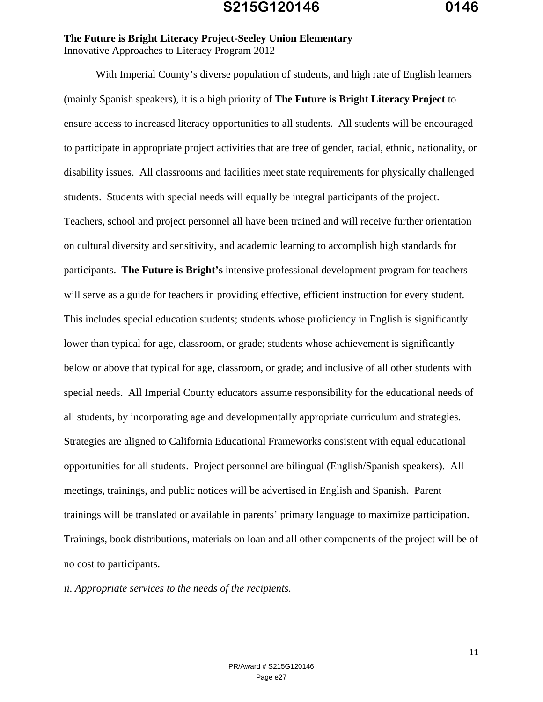With Imperial County's diverse population of students, and high rate of English learners (mainly Spanish speakers), it is a high priority of **The Future is Bright Literacy Project** to ensure access to increased literacy opportunities to all students. All students will be encouraged to participate in appropriate project activities that are free of gender, racial, ethnic, nationality, or disability issues. All classrooms and facilities meet state requirements for physically challenged students. Students with special needs will equally be integral participants of the project. Teachers, school and project personnel all have been trained and will receive further orientation on cultural diversity and sensitivity, and academic learning to accomplish high standards for participants. **The Future is Bright's** intensive professional development program for teachers will serve as a guide for teachers in providing effective, efficient instruction for every student. This includes special education students; students whose proficiency in English is significantly lower than typical for age, classroom, or grade; students whose achievement is significantly below or above that typical for age, classroom, or grade; and inclusive of all other students with special needs. All Imperial County educators assume responsibility for the educational needs of all students, by incorporating age and developmentally appropriate curriculum and strategies. Strategies are aligned to California Educational Frameworks consistent with equal educational opportunities for all students. Project personnel are bilingual (English/Spanish speakers). All meetings, trainings, and public notices will be advertised in English and Spanish. Parent trainings will be translated or available in parents' primary language to maximize participation. Trainings, book distributions, materials on loan and all other components of the project will be of no cost to participants.

*ii. Appropriate services to the needs of the recipients.*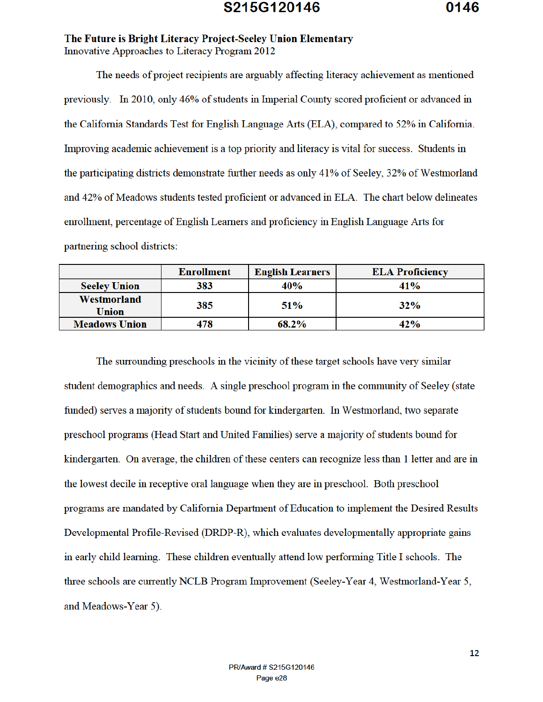The needs of project recipients are arguably affecting literacy achievement as mentioned previously. In 2010, only 46% of students in Imperial County scored proficient or advanced in the California Standards Test for English Language Arts (ELA), compared to 52% in California. Improving academic achievement is a top priority and literacy is vital for success. Students in the participating districts demonstrate further needs as only 41% of Seeley, 32% of Westmorland and 42% of Meadows students tested proficient or advanced in ELA. The chart below delineates enrollment, percentage of English Learners and proficiency in English Language Arts for partnering school districts:

|                             | <b>Enrollment</b> | <b>English Learners</b> | <b>ELA Proficiency</b> |
|-----------------------------|-------------------|-------------------------|------------------------|
| <b>Seeley Union</b>         | 383               | 40%                     | $41\%$                 |
| Westmorland<br><b>Union</b> | 385               | 51 <sub>%</sub>         | 32%                    |
| <b>Meadows Union</b>        | 478               | 68.2%                   | 42%                    |

The surrounding preschools in the vicinity of these target schools have very similar student demographics and needs. A single preschool program in the community of Seeley (state funded) serves a majority of students bound for kindergarten. In Westmorland, two separate preschool programs (Head Start and United Families) serve a majority of students bound for kindergarten. On average, the children of these centers can recognize less than 1 letter and are in the lowest decile in receptive oral language when they are in preschool. Both preschool programs are mandated by California Department of Education to implement the Desired Results Developmental Profile-Revised (DRDP-R), which evaluates developmentally appropriate gains in early child learning. These children eventually attend low performing Title I schools. The three schools are currently NCLB Program Improvement (Seeley-Year 4, Westmorland-Year 5, and Meadows-Year 5).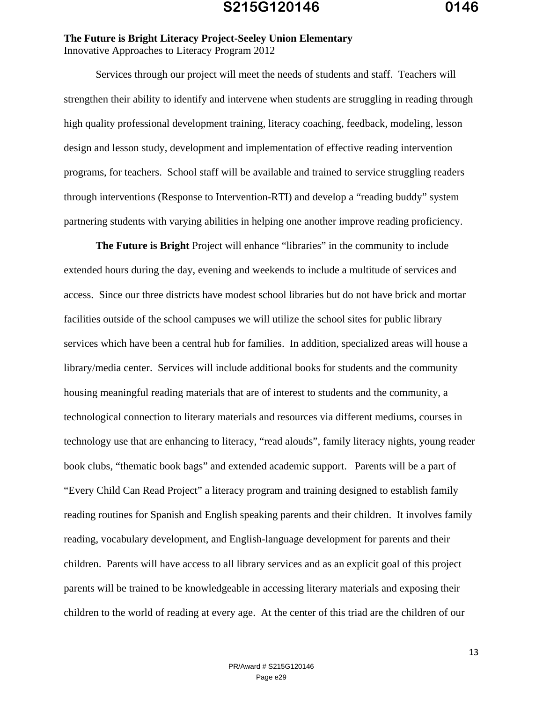Services through our project will meet the needs of students and staff. Teachers will strengthen their ability to identify and intervene when students are struggling in reading through high quality professional development training, literacy coaching, feedback, modeling, lesson design and lesson study, development and implementation of effective reading intervention programs, for teachers. School staff will be available and trained to service struggling readers through interventions (Response to Intervention-RTI) and develop a "reading buddy" system partnering students with varying abilities in helping one another improve reading proficiency.

**The Future is Bright** Project will enhance "libraries" in the community to include extended hours during the day, evening and weekends to include a multitude of services and access. Since our three districts have modest school libraries but do not have brick and mortar facilities outside of the school campuses we will utilize the school sites for public library services which have been a central hub for families. In addition, specialized areas will house a library/media center. Services will include additional books for students and the community housing meaningful reading materials that are of interest to students and the community, a technological connection to literary materials and resources via different mediums, courses in technology use that are enhancing to literacy, "read alouds", family literacy nights, young reader book clubs, "thematic book bags" and extended academic support. Parents will be a part of "Every Child Can Read Project" a literacy program and training designed to establish family reading routines for Spanish and English speaking parents and their children. It involves family reading, vocabulary development, and English-language development for parents and their children. Parents will have access to all library services and as an explicit goal of this project parents will be trained to be knowledgeable in accessing literary materials and exposing their children to the world of reading at every age. At the center of this triad are the children of our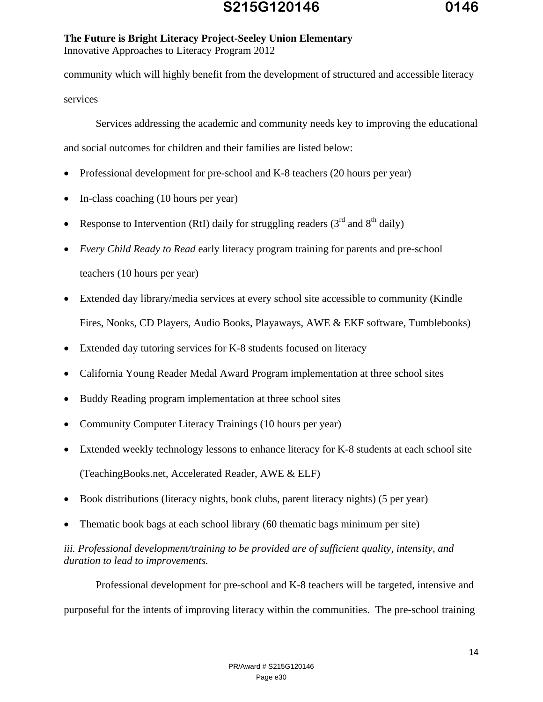community which will highly benefit from the development of structured and accessible literacy services

 Services addressing the academic and community needs key to improving the educational and social outcomes for children and their families are listed below:

- Professional development for pre-school and K-8 teachers (20 hours per year)
- In-class coaching (10 hours per year)
- Response to Intervention (RtI) daily for struggling readers ( $3<sup>rd</sup>$  and  $8<sup>th</sup>$  daily)
- *Every Child Ready to Read* early literacy program training for parents and pre-school teachers (10 hours per year)
- Extended day library/media services at every school site accessible to community (Kindle Fires, Nooks, CD Players, Audio Books, Playaways, AWE & EKF software, Tumblebooks)
- Extended day tutoring services for K-8 students focused on literacy
- California Young Reader Medal Award Program implementation at three school sites
- Buddy Reading program implementation at three school sites
- Community Computer Literacy Trainings (10 hours per year)
- Extended weekly technology lessons to enhance literacy for K-8 students at each school site (TeachingBooks.net, Accelerated Reader, AWE & ELF)
- Book distributions (literacy nights, book clubs, parent literacy nights) (5 per year)
- Thematic book bags at each school library (60 thematic bags minimum per site)

*iii. Professional development/training to be provided are of sufficient quality, intensity, and duration to lead to improvements.* 

 Professional development for pre-school and K-8 teachers will be targeted, intensive and purposeful for the intents of improving literacy within the communities. The pre-school training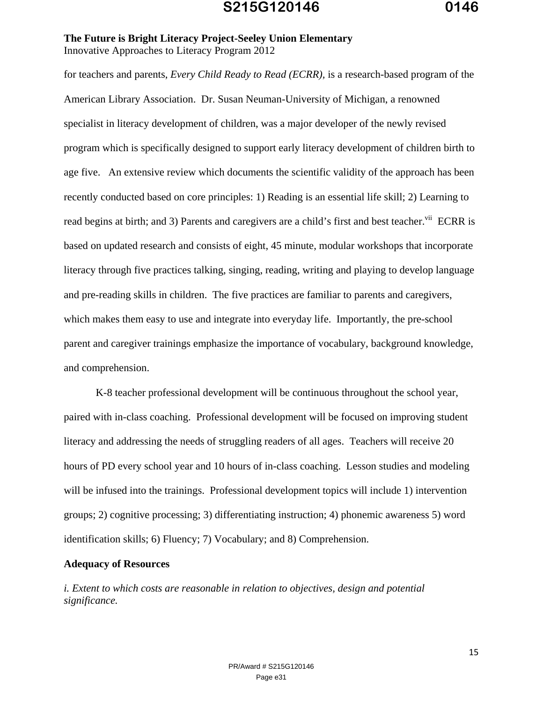for teachers and parents, *Every Child Ready to Read (ECRR),* is a research-based program of the American Library Association. Dr. Susan Neuman-University of Michigan, a renowned specialist in literacy development of children, was a major developer of the newly revised program which is specifically designed to support early literacy development of children birth to age five. An extensive review which documents the scientific validity of the approach has been recently conducted based on core principles: 1) Reading is an essential life skill; 2) Learning to read begins at birth; and 3) Parents and caregivers are a child's first and best teacher.<sup>vii</sup> ECRR is based on updated research and consists of eight, 45 minute, modular workshops that incorporate literacy through five practices talking, singing, reading, writing and playing to develop language and pre-reading skills in children. The five practices are familiar to parents and caregivers, which makes them easy to use and integrate into everyday life. Importantly, the pre-school parent and caregiver trainings emphasize the importance of vocabulary, background knowledge, and comprehension.

 K-8 teacher professional development will be continuous throughout the school year, paired with in-class coaching. Professional development will be focused on improving student literacy and addressing the needs of struggling readers of all ages. Teachers will receive 20 hours of PD every school year and 10 hours of in-class coaching. Lesson studies and modeling will be infused into the trainings. Professional development topics will include 1) intervention groups; 2) cognitive processing; 3) differentiating instruction; 4) phonemic awareness 5) word identification skills; 6) Fluency; 7) Vocabulary; and 8) Comprehension.

#### **Adequacy of Resources**

*i. Extent to which costs are reasonable in relation to objectives, design and potential significance.*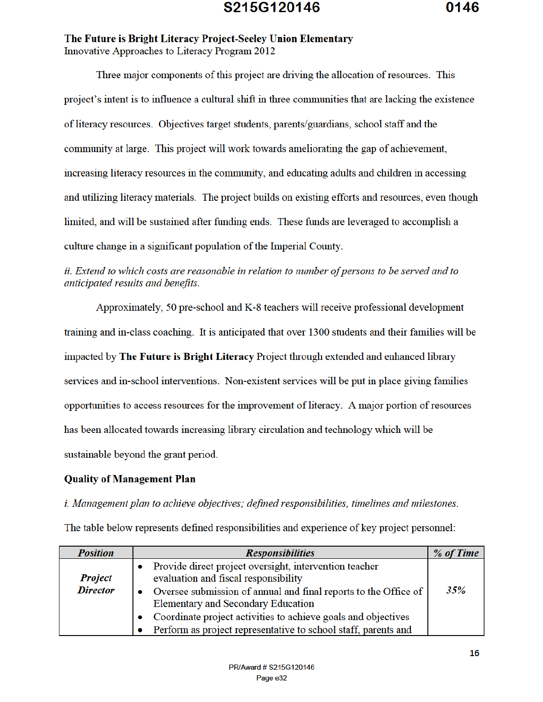Three major components of this project are driving the allocation of resources. This project's intent is to influence a cultural shift in three communities that are lacking the existence of literacy resources. Objectives target students, parents/guardians, school staff and the community at large. This project will work towards ameliorating the gap of achievement. increasing literacy resources in the community, and educating adults and children in accessing and utilizing literacy materials. The project builds on existing efforts and resources, even though limited, and will be sustained after funding ends. These funds are leveraged to accomplish a culture change in a significant population of the Imperial County.

#### ii. Extend to which costs are reasonable in relation to number of persons to be served and to anticipated results and benefits.

Approximately, 50 pre-school and K-8 teachers will receive professional development training and in-class coaching. It is anticipated that over 1300 students and their families will be impacted by The Future is Bright Literacy Project through extended and enhanced library services and in-school interventions. Non-existent services will be put in place giving families opportunities to access resources for the improvement of literacy. A major portion of resources has been allocated towards increasing library circulation and technology which will be sustainable beyond the grant period.

#### **Quality of Management Plan**

*i. Management plan to achieve objectives; defined responsibilities, timelines and milestones.* 

The table below represents defined responsibilities and experience of key project personnel:

| <b>Position</b>                   | <b>Responsibilities</b>                                                                                                                                                      | % of Time |
|-----------------------------------|------------------------------------------------------------------------------------------------------------------------------------------------------------------------------|-----------|
| <b>Project</b><br><b>Director</b> | Provide direct project oversight, intervention teacher<br>evaluation and fiscal responsibility<br>Oversee submission of annual and final reports to the Office of            | 35%       |
|                                   | <b>Elementary and Secondary Education</b><br>Coordinate project activities to achieve goals and objectives<br>Perform as project representative to school staff, parents and |           |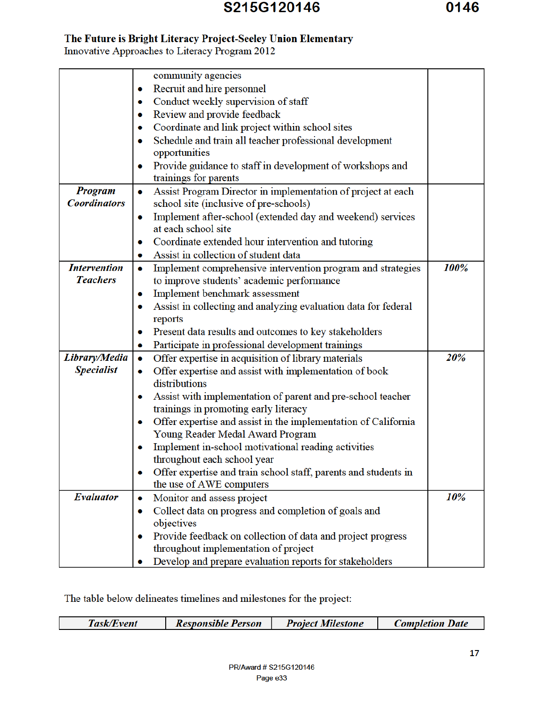|                     | community agencies                                                  |      |
|---------------------|---------------------------------------------------------------------|------|
|                     | Recruit and hire personnel<br>۰                                     |      |
|                     | Conduct weekly supervision of staff<br>۰                            |      |
|                     | Review and provide feedback<br>۰                                    |      |
|                     | Coordinate and link project within school sites<br>۰                |      |
|                     | Schedule and train all teacher professional development<br>۰        |      |
|                     | opportunities                                                       |      |
|                     | Provide guidance to staff in development of workshops and<br>۰      |      |
|                     | trainings for parents                                               |      |
| <b>Program</b>      | Assist Program Director in implementation of project at each<br>۰   |      |
| <b>Coordinators</b> | school site (inclusive of pre-schools)                              |      |
|                     | Implement after-school (extended day and weekend) services<br>۰     |      |
|                     | at each school site                                                 |      |
|                     | Coordinate extended hour intervention and tutoring<br>۰             |      |
|                     | Assist in collection of student data                                |      |
| <b>Intervention</b> | Implement comprehensive intervention program and strategies<br>۰    | 100% |
| <b>Teachers</b>     | to improve students' academic performance                           |      |
|                     | Implement benchmark assessment<br>۰                                 |      |
|                     | Assist in collecting and analyzing evaluation data for federal<br>۰ |      |
|                     | reports                                                             |      |
|                     | Present data results and outcomes to key stakeholders<br>۰          |      |
|                     | Participate in professional development trainings<br>۰              |      |
| Library/Media       | Offer expertise in acquisition of library materials<br>$\bullet$    | 20%  |
| <b>Specialist</b>   | Offer expertise and assist with implementation of book<br>۰         |      |
|                     | distributions                                                       |      |
|                     | Assist with implementation of parent and pre-school teacher<br>۰    |      |
|                     | trainings in promoting early literacy                               |      |
|                     | Offer expertise and assist in the implementation of California<br>۰ |      |
|                     | Young Reader Medal Award Program                                    |      |
|                     | Implement in-school motivational reading activities                 |      |
|                     | throughout each school year                                         |      |
|                     | Offer expertise and train school staff, parents and students in     |      |
|                     | the use of AWE computers                                            |      |
| <b>Evaluator</b>    | Monitor and assess project<br>۰                                     | 10%  |
|                     | Collect data on progress and completion of goals and<br>۰           |      |
|                     | objectives                                                          |      |
|                     | Provide feedback on collection of data and project progress         |      |
|                     | throughout implementation of project                                |      |
|                     | Develop and prepare evaluation reports for stakeholders             |      |

The table below delineates timelines and milestones for the project:

| <b>Responsible Person</b><br>Task/Event | <b>Project Milestone</b> | <b>Completion Date</b> |
|-----------------------------------------|--------------------------|------------------------|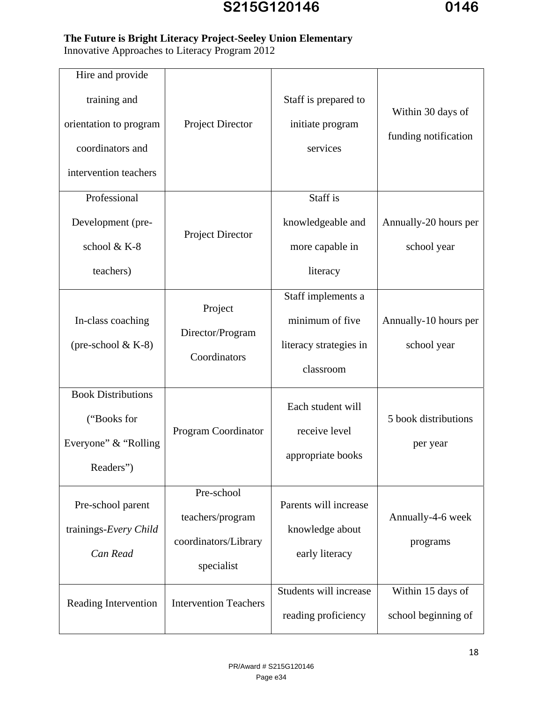#### **The Future is Bright Literacy Project-Seeley Union Elementary**

Innovative Approaches to Literacy Program 2012

| Hire and provide<br>training and<br>orientation to program<br>coordinators and | Project Director                                                     | Staff is prepared to<br>initiate program<br>services                         | Within 30 days of<br>funding notification |
|--------------------------------------------------------------------------------|----------------------------------------------------------------------|------------------------------------------------------------------------------|-------------------------------------------|
| intervention teachers                                                          |                                                                      |                                                                              |                                           |
| Professional<br>Development (pre-<br>school & K-8<br>teachers)                 | Project Director                                                     | Staff is<br>knowledgeable and<br>more capable in<br>literacy                 | Annually-20 hours per<br>school year      |
| In-class coaching<br>(pre-school $& K-8$ )                                     | Project<br>Director/Program<br>Coordinators                          | Staff implements a<br>minimum of five<br>literacy strategies in<br>classroom | Annually-10 hours per<br>school year      |
| <b>Book Distributions</b><br>("Books for<br>Everyone" & "Rolling"<br>Readers") | Program Coordinator                                                  | Each student will<br>receive level<br>appropriate books                      | 5 book distributions<br>per year          |
| Pre-school parent<br>trainings-Every Child<br>Can Read                         | Pre-school<br>teachers/program<br>coordinators/Library<br>specialist | Parents will increase<br>knowledge about<br>early literacy                   | Annually-4-6 week<br>programs             |
| Reading Intervention                                                           | <b>Intervention Teachers</b>                                         | Students will increase<br>reading proficiency                                | Within 15 days of<br>school beginning of  |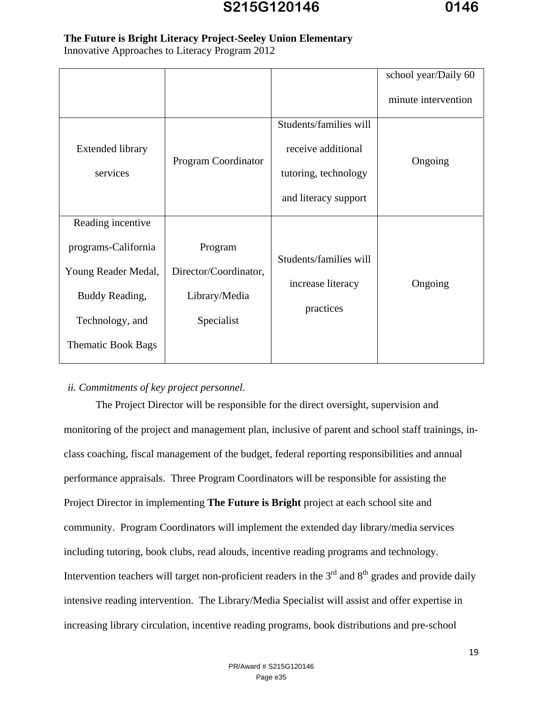#### **The Future is Bright Literacy Project-Seeley Union Elementary**

Innovative Approaches to Literacy Program 2012

|                                                                                                                                   |                                                                 |                                                                                              | school year/Daily 60 |
|-----------------------------------------------------------------------------------------------------------------------------------|-----------------------------------------------------------------|----------------------------------------------------------------------------------------------|----------------------|
|                                                                                                                                   |                                                                 |                                                                                              | minute intervention  |
| <b>Extended library</b><br>services                                                                                               | Program Coordinator                                             | Students/families will<br>receive additional<br>tutoring, technology<br>and literacy support | Ongoing              |
| Reading incentive<br>programs-California<br>Young Reader Medal,<br>Buddy Reading,<br>Technology, and<br><b>Thematic Book Bags</b> | Program<br>Director/Coordinator,<br>Library/Media<br>Specialist | Students/families will<br>increase literacy<br>practices                                     | Ongoing              |

#### *ii. Commitments of key project personnel.*

 The Project Director will be responsible for the direct oversight, supervision and monitoring of the project and management plan, inclusive of parent and school staff trainings, inclass coaching, fiscal management of the budget, federal reporting responsibilities and annual performance appraisals. Three Program Coordinators will be responsible for assisting the Project Director in implementing **The Future is Bright** project at each school site and community. Program Coordinators will implement the extended day library/media services including tutoring, book clubs, read alouds, incentive reading programs and technology. Intervention teachers will target non-proficient readers in the  $3<sup>rd</sup>$  and  $8<sup>th</sup>$  grades and provide daily intensive reading intervention. The Library/Media Specialist will assist and offer expertise in increasing library circulation, incentive reading programs, book distributions and pre-school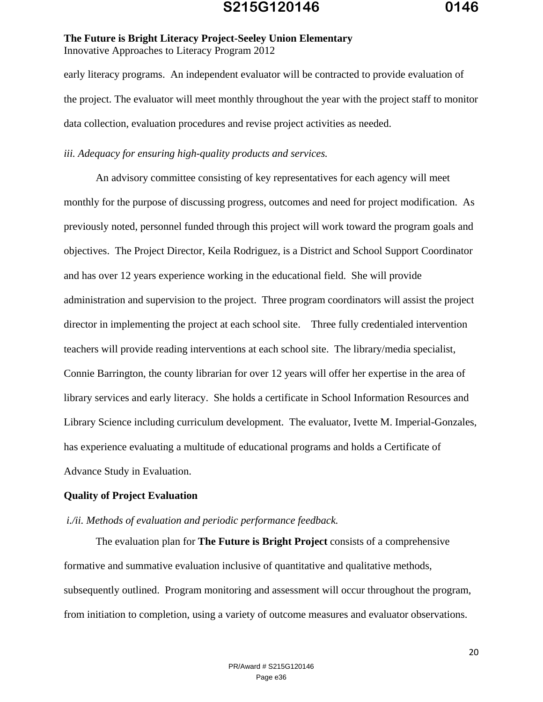early literacy programs. An independent evaluator will be contracted to provide evaluation of the project. The evaluator will meet monthly throughout the year with the project staff to monitor data collection, evaluation procedures and revise project activities as needed.

#### *iii. Adequacy for ensuring high-quality products and services.*

 An advisory committee consisting of key representatives for each agency will meet monthly for the purpose of discussing progress, outcomes and need for project modification. As previously noted, personnel funded through this project will work toward the program goals and objectives. The Project Director, Keila Rodriguez, is a District and School Support Coordinator and has over 12 years experience working in the educational field. She will provide administration and supervision to the project. Three program coordinators will assist the project director in implementing the project at each school site. Three fully credentialed intervention teachers will provide reading interventions at each school site. The library/media specialist, Connie Barrington, the county librarian for over 12 years will offer her expertise in the area of library services and early literacy. She holds a certificate in School Information Resources and Library Science including curriculum development. The evaluator, Ivette M. Imperial-Gonzales, has experience evaluating a multitude of educational programs and holds a Certificate of Advance Study in Evaluation.

#### **Quality of Project Evaluation**

#### *i./ii. Methods of evaluation and periodic performance feedback.*

 The evaluation plan for **The Future is Bright Project** consists of a comprehensive formative and summative evaluation inclusive of quantitative and qualitative methods, subsequently outlined. Program monitoring and assessment will occur throughout the program, from initiation to completion, using a variety of outcome measures and evaluator observations.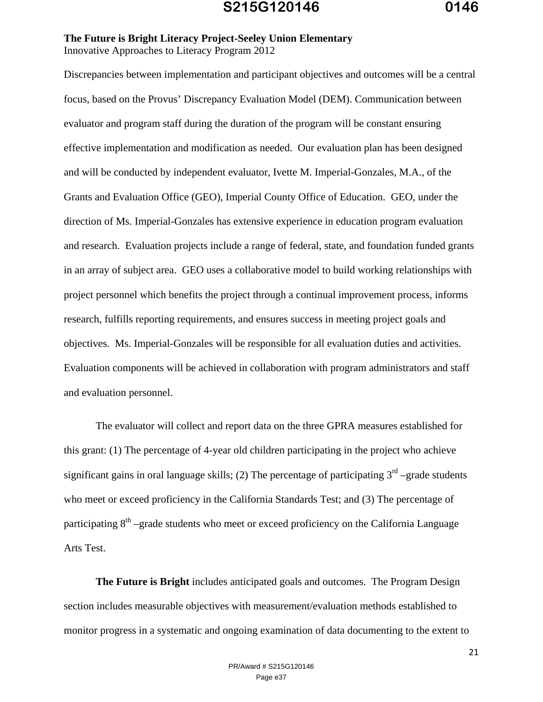Discrepancies between implementation and participant objectives and outcomes will be a central focus, based on the Provus' Discrepancy Evaluation Model (DEM). Communication between evaluator and program staff during the duration of the program will be constant ensuring effective implementation and modification as needed. Our evaluation plan has been designed and will be conducted by independent evaluator, Ivette M. Imperial-Gonzales, M.A., of the Grants and Evaluation Office (GEO), Imperial County Office of Education. GEO, under the direction of Ms. Imperial-Gonzales has extensive experience in education program evaluation and research. Evaluation projects include a range of federal, state, and foundation funded grants in an array of subject area. GEO uses a collaborative model to build working relationships with project personnel which benefits the project through a continual improvement process, informs research, fulfills reporting requirements, and ensures success in meeting project goals and objectives. Ms. Imperial-Gonzales will be responsible for all evaluation duties and activities. Evaluation components will be achieved in collaboration with program administrators and staff and evaluation personnel.

 The evaluator will collect and report data on the three GPRA measures established for this grant: (1) The percentage of 4-year old children participating in the project who achieve significant gains in oral language skills; (2) The percentage of participating  $3<sup>rd</sup>$  –grade students who meet or exceed proficiency in the California Standards Test; and (3) The percentage of participating  $8<sup>th</sup>$  –grade students who meet or exceed proficiency on the California Language Arts Test.

**The Future is Bright** includes anticipated goals and outcomes. The Program Design section includes measurable objectives with measurement/evaluation methods established to monitor progress in a systematic and ongoing examination of data documenting to the extent to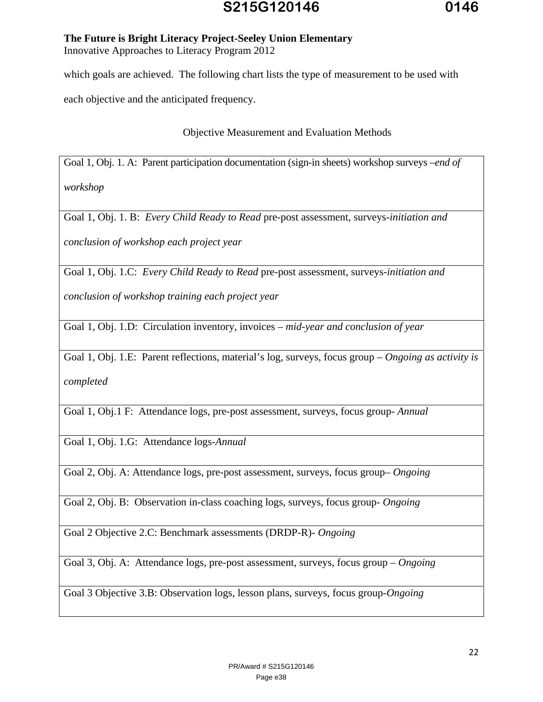# **S215G120146 0146**

#### **The Future is Bright Literacy Project-Seeley Union Elementary**  Innovative Approaches to Literacy Program 2012

which goals are achieved. The following chart lists the type of measurement to be used with

each objective and the anticipated frequency.

Objective Measurement and Evaluation Methods

Goal 1, Obj. 1. A: Parent participation documentation (sign-in sheets) workshop surveys –*end of workshop*

Goal 1, Obj. 1. B: *Every Child Ready to Read* pre-post assessment, surveys-*initiation and* 

*conclusion of workshop each project year* 

Goal 1, Obj. 1.C: *Every Child Ready to Read* pre-post assessment, surveys-*initiation and* 

*conclusion of workshop training each project year* 

Goal 1, Obj. 1.D: Circulation inventory, invoices – *mid-year and conclusion of year* 

Goal 1, Obj. 1.E: Parent reflections, material's log, surveys, focus group – *Ongoing as activity is completed*

Goal 1, Obj.1 F: Attendance logs, pre-post assessment, surveys, focus group- *Annual*

Goal 1, Obj. 1.G: Attendance logs-*Annual* 

Goal 2, Obj. A: Attendance logs, pre-post assessment, surveys, focus group– *Ongoing* 

Goal 2, Obj. B: Observation in-class coaching logs, surveys, focus group- *Ongoing* 

Goal 2 Objective 2.C: Benchmark assessments (DRDP-R)- *Ongoing* 

Goal 3, Obj. A: Attendance logs, pre-post assessment, surveys, focus group – *Ongoing* 

Goal 3 Objective 3.B: Observation logs, lesson plans, surveys, focus group-*Ongoing*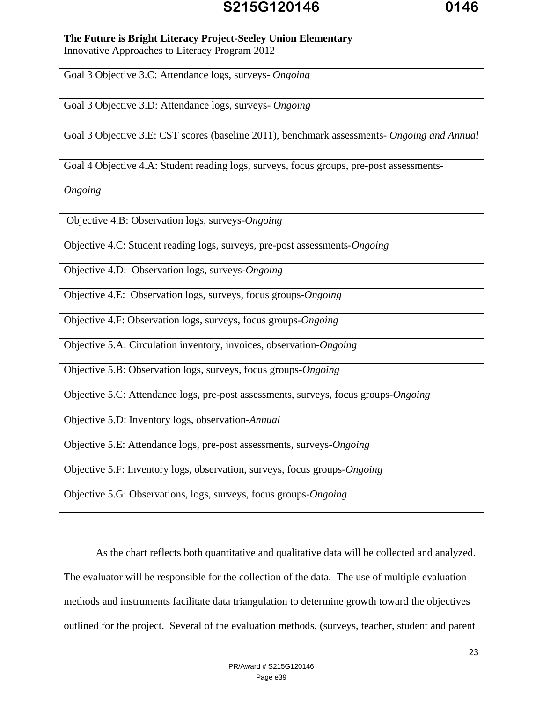# **S215G120146 0146**

#### **The Future is Bright Literacy Project-Seeley Union Elementary**

Innovative Approaches to Literacy Program 2012

Goal 3 Objective 3.C: Attendance logs, surveys- *Ongoing* 

Goal 3 Objective 3.D: Attendance logs, surveys- *Ongoing* 

Goal 3 Objective 3.E: CST scores (baseline 2011), benchmark assessments- *Ongoing and Annual* 

Goal 4 Objective 4.A: Student reading logs, surveys, focus groups, pre-post assessments-

*Ongoing* 

Objective 4.B: Observation logs, surveys-*Ongoing* 

Objective 4.C: Student reading logs, surveys, pre-post assessments-*Ongoing* 

Objective 4.D: Observation logs, surveys-*Ongoing* 

Objective 4.E: Observation logs, surveys, focus groups-*Ongoing* 

Objective 4.F: Observation logs, surveys, focus groups-*Ongoing* 

Objective 5.A: Circulation inventory, invoices, observation-*Ongoing* 

Objective 5.B: Observation logs, surveys, focus groups-*Ongoing* 

Objective 5.C: Attendance logs, pre-post assessments, surveys, focus groups-*Ongoing* 

Objective 5.D: Inventory logs, observation-*Annual* 

Objective 5.E: Attendance logs, pre-post assessments, surveys-*Ongoing* 

Objective 5.F: Inventory logs, observation, surveys, focus groups-*Ongoing* 

Objective 5.G: Observations, logs, surveys, focus groups-*Ongoing* 

 As the chart reflects both quantitative and qualitative data will be collected and analyzed. The evaluator will be responsible for the collection of the data. The use of multiple evaluation methods and instruments facilitate data triangulation to determine growth toward the objectives outlined for the project. Several of the evaluation methods, (surveys, teacher, student and parent